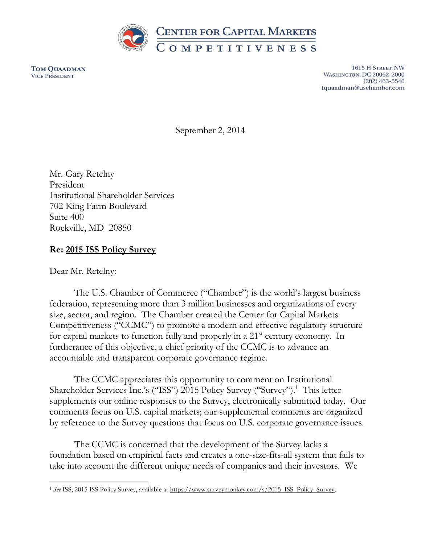

**TOM QUAADMAN VICE PRESIDENT** 

1615 H STREET, NW **WASHINGTON, DC 20062-2000**  $(202)$  463-5540 tquaadman@uschamber.com

September 2, 2014

Mr. Gary Retelny President Institutional Shareholder Services 702 King Farm Boulevard Suite 400 Rockville, MD 20850

# **Re: 2015 ISS Policy Survey**

Dear Mr. Retelny:

The U.S. Chamber of Commerce ("Chamber") is the world's largest business federation, representing more than 3 million businesses and organizations of every size, sector, and region. The Chamber created the Center for Capital Markets Competitiveness ("CCMC") to promote a modern and effective regulatory structure for capital markets to function fully and properly in a  $21<sup>st</sup>$  century economy. In furtherance of this objective, a chief priority of the CCMC is to advance an accountable and transparent corporate governance regime.

The CCMC appreciates this opportunity to comment on Institutional Shareholder Services Inc.'s ("ISS") 2015 Policy Survey ("Survey").<sup>1</sup> This letter supplements our online responses to the Survey, electronically submitted today. Our comments focus on U.S. capital markets; our supplemental comments are organized by reference to the Survey questions that focus on U.S. corporate governance issues.

The CCMC is concerned that the development of the Survey lacks a foundation based on empirical facts and creates a one-size-fits-all system that fails to take into account the different unique needs of companies and their investors. We

 $\overline{\phantom{a}}$ <sup>1</sup> *See* ISS, 2015 ISS Policy Survey, available at [https://www.surveymonkey.com/s/2015\\_ISS\\_Policy\\_Survey.](https://www.surveymonkey.com/s/2015_ISS_Policy_Survey)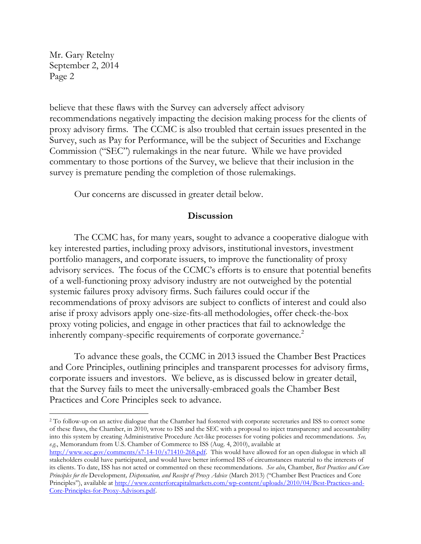$\overline{\phantom{a}}$ 

believe that these flaws with the Survey can adversely affect advisory recommendations negatively impacting the decision making process for the clients of proxy advisory firms. The CCMC is also troubled that certain issues presented in the Survey, such as Pay for Performance, will be the subject of Securities and Exchange Commission ("SEC") rulemakings in the near future. While we have provided commentary to those portions of the Survey, we believe that their inclusion in the survey is premature pending the completion of those rulemakings.

Our concerns are discussed in greater detail below.

## **Discussion**

The CCMC has, for many years, sought to advance a cooperative dialogue with key interested parties, including proxy advisors, institutional investors, investment portfolio managers, and corporate issuers, to improve the functionality of proxy advisory services. The focus of the CCMC's efforts is to ensure that potential benefits of a well-functioning proxy advisory industry are not outweighed by the potential systemic failures proxy advisory firms. Such failures could occur if the recommendations of proxy advisors are subject to conflicts of interest and could also arise if proxy advisors apply one-size-fits-all methodologies, offer check-the-box proxy voting policies, and engage in other practices that fail to acknowledge the inherently company-specific requirements of corporate governance.<sup>2</sup>

To advance these goals, the CCMC in 2013 issued the Chamber Best Practices and Core Principles, outlining principles and transparent processes for advisory firms, corporate issuers and investors. We believe, as is discussed below in greater detail, that the Survey fails to meet the universally-embraced goals the Chamber Best Practices and Core Principles seek to advance.

<sup>2</sup> To follow-up on an active dialogue that the Chamber had fostered with corporate secretaries and ISS to correct some of these flaws, the Chamber, in 2010, wrote to ISS and the SEC with a proposal to inject transparency and accountability into this system by creating Administrative Procedure Act-like processes for voting policies and recommendations. *See, e.g.*, Memorandum from U.S. Chamber of Commerce to ISS (Aug. 4, 2010), available at

[http://www.sec.gov/comments/s7-14-10/s71410-268.pdf.](http://www.sec.gov/comments/s7-14-10/s71410-268.pdf) This would have allowed for an open dialogue in which all stakeholders could have participated, and would have better informed ISS of circumstances material to the interests of its clients. To date, ISS has not acted or commented on these recommendations. *See also*, Chamber, *Best Practices and Core Principles for the* Development*, Dispensation, and Receipt of Proxy Advice* (March 2013) ("Chamber Best Practices and Core Principles"), available at [http://www.centerforcapitalmarkets.com/wp-content/uploads/2010/04/Best-Practices-and-](http://www.centerforcapitalmarkets.com/wp-content/uploads/2010/04/Best-Practices-and-Core-Principles-for-Proxy-Advisors.pdf)[Core-Principles-for-Proxy-Advisors.pdf.](http://www.centerforcapitalmarkets.com/wp-content/uploads/2010/04/Best-Practices-and-Core-Principles-for-Proxy-Advisors.pdf)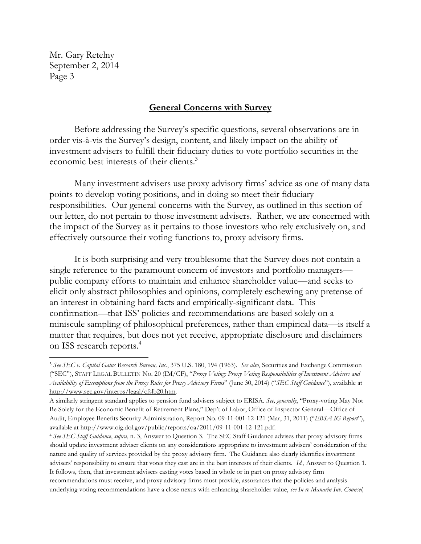$\overline{\phantom{a}}$ 

#### **General Concerns with Survey**

Before addressing the Survey's specific questions, several observations are in order vis-à-vis the Survey's design, content, and likely impact on the ability of investment advisers to fulfill their fiduciary duties to vote portfolio securities in the economic best interests of their clients.<sup>3</sup>

Many investment advisers use proxy advisory firms' advice as one of many data points to develop voting positions, and in doing so meet their fiduciary responsibilities. Our general concerns with the Survey, as outlined in this section of our letter, do not pertain to those investment advisers. Rather, we are concerned with the impact of the Survey as it pertains to those investors who rely exclusively on, and effectively outsource their voting functions to, proxy advisory firms.

It is both surprising and very troublesome that the Survey does not contain a single reference to the paramount concern of investors and portfolio managers public company efforts to maintain and enhance shareholder value—and seeks to elicit only abstract philosophies and opinions, completely eschewing any pretense of an interest in obtaining hard facts and empirically-significant data. This confirmation—that ISS' policies and recommendations are based solely on a miniscule sampling of philosophical preferences, rather than empirical data—is itself a matter that requires, but does not yet receive, appropriate disclosure and disclaimers on ISS research reports. 4

<sup>3</sup> *See SEC v. Capital Gains Research Bureau, Inc.*, 375 U.S. 180, 194 (1963). *See also*, Securities and Exchange Commission ("SEC"), STAFF LEGAL BULLETIN No. 20 (IM/CF), "*Proxy Voting: Proxy Voting Responsibilities of Investment Advisers and Availability of Exemptions from the Proxy Rules for Proxy Advisory Firms*" (June 30, 2014) ("*SEC Staff Guidance*"), available at [http://www.sec.gov/interps/legal/cfslb20.htm.](http://www.sec.gov/interps/legal/cfslb20.htm) 

A similarly stringent standard applies to pension fund advisers subject to ERISA. *See, generally*, "Proxy-voting May Not Be Solely for the Economic Benefit of Retirement Plans," Dep't of Labor, Office of Inspector General—Office of Audit, Employee Benefits Security Administration, Report No. 09-11-001-12-121 (Mar, 31, 2011) ("*EBSA IG Report*"), available at [http://www.oig.dol.gov/public/reports/oa/2011/09-11-001-12-121.pdf.](http://www.oig.dol.gov/public/reports/oa/2011/09-11-001-12-121.pdf)

<sup>4</sup> *See SEC Staff Guidance*, *supra*, n. 3, Answer to Question 3. The SEC Staff Guidance advises that proxy advisory firms should update investment adviser clients on any considerations appropriate to investment advisers' consideration of the nature and quality of services provided by the proxy advisory firm. The Guidance also clearly identifies investment advisers' responsibility to ensure that votes they cast are in the best interests of their clients. *Id.*, Answer to Question 1. It follows, then, that investment advisers casting votes based in whole or in part on proxy advisory firm recommendations must receive, and proxy advisory firms must provide, assurances that the policies and analysis underlying voting recommendations have a close nexus with enhancing shareholder value, *see In re Manarin Inv. Counsel,*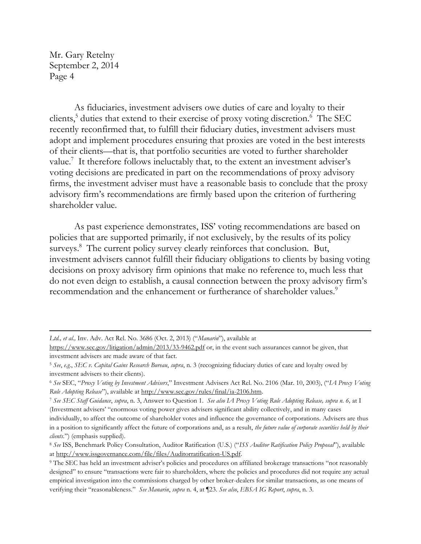$\overline{a}$ 

As fiduciaries, investment advisers owe duties of care and loyalty to their clients,<sup>5</sup> duties that extend to their exercise of proxy voting discretion.<sup>6</sup> The SEC recently reconfirmed that, to fulfill their fiduciary duties, investment advisers must adopt and implement procedures ensuring that proxies are voted in the best interests of their clients—that is, that portfolio securities are voted to further shareholder value.<sup>7</sup> It therefore follows ineluctably that, to the extent an investment adviser's voting decisions are predicated in part on the recommendations of proxy advisory firms, the investment adviser must have a reasonable basis to conclude that the proxy advisory firm's recommendations are firmly based upon the criterion of furthering shareholder value.

As past experience demonstrates, ISS' voting recommendations are based on policies that are supported primarily, if not exclusively, by the results of its policy surveys.<sup>8</sup> The current policy survey clearly reinforces that conclusion. But, investment advisers cannot fulfill their fiduciary obligations to clients by basing voting decisions on proxy advisory firm opinions that make no reference to, much less that do not even deign to establish, a causal connection between the proxy advisory firm's recommendation and the enhancement or furtherance of shareholder values.<sup>9</sup>

*Ltd., et al.,* Inv. Adv. Act Rel. No. 3686 (Oct. 2, 2013) ("*Manarin*"), available at

<https://www.sec.gov/litigation/admin/2013/33-9462.pdf> or, in the event such assurances cannot be given, that investment advisers are made aware of that fact.

<sup>5</sup> *See*, *e.g.*, *SEC v. Capital Gains Research Bureau*, *supra*, n. 3 (recognizing fiduciary duties of care and loyalty owed by investment advisers to their clients).

<sup>6</sup> *See* SEC, "*Proxy Voting by Investment Advisers*," Investment Advisers Act Rel. No. 2106 (Mar. 10, 2003), ("*IA Proxy Voting Rule Adopting Release*"), available at [http://www.sec.gov/rules/final/ia-2106.htm.](http://www.sec.gov/rules/final/ia-2106.htm)

<sup>7</sup> *See SEC Staff Guidance*, *supra*, n. 3, Answer to Question 1. *See also IA Proxy Voting Rule Adopting Release, supra n. 6,* at I (Investment advisers' "enormous voting power gives advisers significant ability collectively, and in many cases individually, to affect the outcome of shareholder votes and influence the governance of corporations. Advisers are thus in a position to significantly affect the future of corporations and, as a result, *the future value of corporate securities held by their clients*.") (emphasis supplied).

<sup>8</sup> *See* ISS, Benchmark Policy Consultation, Auditor Ratification (U.S.) ("*ISS Auditor Ratification Policy Proposal*"), available a[t http://www.issgovernance.com/file/files/Auditorratification-US.pdf.](http://www.issgovernance.com/file/files/Auditorratification-US.pdf)

<sup>9</sup> The SEC has held an investment adviser's policies and procedures on affiliated brokerage transactions "not reasonably designed" to ensure "transactions were fair to shareholders, where the policies and procedures did not require any actual empirical investigation into the commissions charged by other broker-dealers for similar transactions, as one means of verifying their "reasonableness." *See Manarin*, *supra* n. 4, at ¶23. *See also*, *EBSA IG Report*, *supra*, n. 3.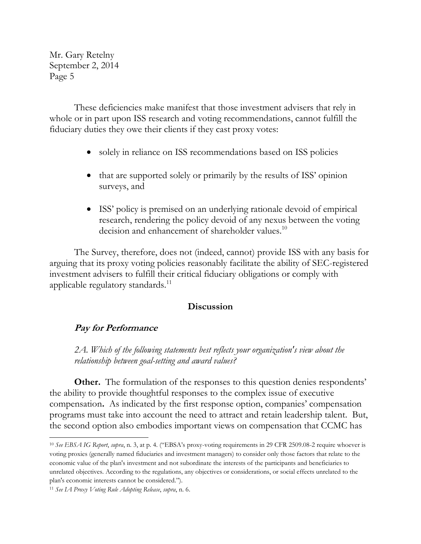These deficiencies make manifest that those investment advisers that rely in whole or in part upon ISS research and voting recommendations, cannot fulfill the fiduciary duties they owe their clients if they cast proxy votes:

- solely in reliance on ISS recommendations based on ISS policies
- that are supported solely or primarily by the results of ISS' opinion surveys, and
- ISS' policy is premised on an underlying rationale devoid of empirical research, rendering the policy devoid of any nexus between the voting decision and enhancement of shareholder values.<sup>10</sup>

The Survey, therefore, does not (indeed, cannot) provide ISS with any basis for arguing that its proxy voting policies reasonably facilitate the ability of SEC-registered investment advisers to fulfill their critical fiduciary obligations or comply with applicable regulatory standards.<sup>11</sup>

## **Discussion**

## **Pay for Performance**

*2A. Which of the following statements best reflects your organization's view about the relationship between goal-setting and award values?*

**Other.** The formulation of the responses to this question denies respondents' the ability to provide thoughtful responses to the complex issue of executive compensation**.** As indicated by the first response option, companies' compensation programs must take into account the need to attract and retain leadership talent. But, the second option also embodies important views on compensation that CCMC has

l

<sup>10</sup> *See EBSA IG Report*, *supra*, n. 3, at p. 4. ("EBSA's proxy-voting requirements in 29 CFR 2509.08-2 require whoever is voting proxies (generally named fiduciaries and investment managers) to consider only those factors that relate to the economic value of the plan's investment and not subordinate the interests of the participants and beneficiaries to unrelated objectives. According to the regulations, any objectives or considerations, or social effects unrelated to the plan's economic interests cannot be considered.").

<sup>11</sup> *See IA Proxy Voting Rule Adopting Release*, *supra*, n. 6.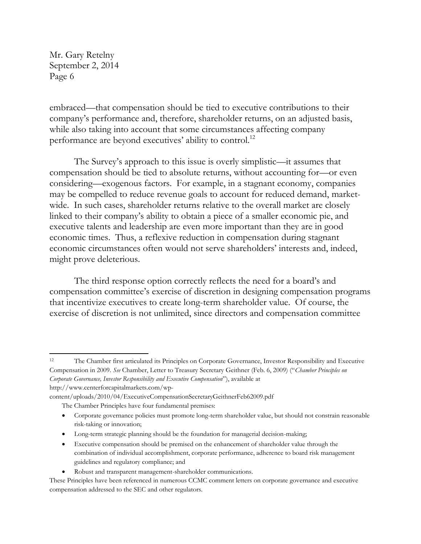embraced—that compensation should be tied to executive contributions to their company's performance and, therefore, shareholder returns, on an adjusted basis, while also taking into account that some circumstances affecting company performance are beyond executives' ability to control.<sup>12</sup>

The Survey's approach to this issue is overly simplistic—it assumes that compensation should be tied to absolute returns, without accounting for—or even considering—exogenous factors. For example, in a stagnant economy, companies may be compelled to reduce revenue goals to account for reduced demand, marketwide. In such cases, shareholder returns relative to the overall market are closely linked to their company's ability to obtain a piece of a smaller economic pie, and executive talents and leadership are even more important than they are in good economic times. Thus, a reflexive reduction in compensation during stagnant economic circumstances often would not serve shareholders' interests and, indeed, might prove deleterious.

The third response option correctly reflects the need for a board's and compensation committee's exercise of discretion in designing compensation programs that incentivize executives to create long-term shareholder value. Of course, the exercise of discretion is not unlimited, since directors and compensation committee

l <sup>12</sup> The Chamber first articulated its Principles on Corporate Governance, Investor Responsibility and Executive Compensation in 2009. *See* Chamber, Letter to Treasury Secretary Geithner (Feb. 6, 2009) ("*Chamber Principles on Corporate Governance, Investor Responsibility and Executive Compensation*"), available at [http://www.centerforcapitalmarkets.com/wp-](http://www.centerforcapitalmarkets.com/wp-content/uploads/2010/04/ExecutiveCompensationSecretaryGeithnerFeb62009.pdf)

[content/uploads/2010/04/ExecutiveCompensationSecretaryGeithnerFeb62009.pdf](http://www.centerforcapitalmarkets.com/wp-content/uploads/2010/04/ExecutiveCompensationSecretaryGeithnerFeb62009.pdf)

 Corporate governance policies must promote long-term shareholder value, but should not constrain reasonable risk-taking or innovation;

- Executive compensation should be premised on the enhancement of shareholder value through the combination of individual accomplishment, corporate performance, adherence to board risk management guidelines and regulatory compliance; and
- Robust and transparent management-shareholder communications.

The Chamber Principles have four fundamental premises:

Long-term strategic planning should be the foundation for managerial decision-making;

These Principles have been referenced in numerous CCMC comment letters on corporate governance and executive compensation addressed to the SEC and other regulators.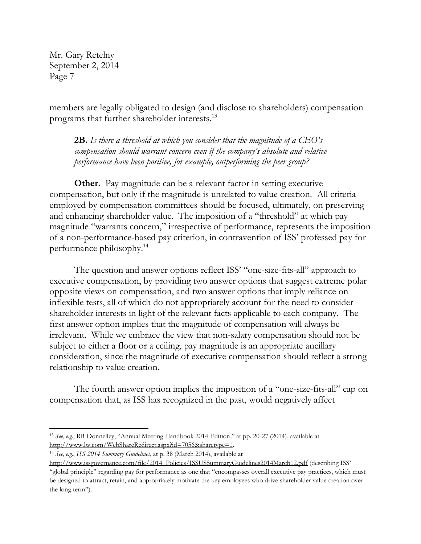members are legally obligated to design (and disclose to shareholders) compensation programs that further shareholder interests.<sup>13</sup>

**2B.** *Is there a threshold at which you consider that the magnitude of a CEO's compensation should warrant concern even if the company's absolute and relative performance have been positive, for example, outperforming the peer group?*

**Other.** Pay magnitude can be a relevant factor in setting executive compensation, but only if the magnitude is unrelated to value creation. All criteria employed by compensation committees should be focused, ultimately, on preserving and enhancing shareholder value. The imposition of a "threshold" at which pay magnitude "warrants concern," irrespective of performance, represents the imposition of a non-performance-based pay criterion, in contravention of ISS' professed pay for performance philosophy.<sup>14</sup>

The question and answer options reflect ISS' "one-size-fits-all" approach to executive compensation, by providing two answer options that suggest extreme polar opposite views on compensation, and two answer options that imply reliance on inflexible tests, all of which do not appropriately account for the need to consider shareholder interests in light of the relevant facts applicable to each company. The first answer option implies that the magnitude of compensation will always be irrelevant. While we embrace the view that non-salary compensation should not be subject to either a floor or a ceiling, pay magnitude is an appropriate ancillary consideration, since the magnitude of executive compensation should reflect a strong relationship to value creation.

The fourth answer option implies the imposition of a "one-size-fits-all" cap on compensation that, as ISS has recognized in the past, would negatively affect

 $\overline{\phantom{a}}$ 

<sup>13</sup> *See*, *e.g.*, RR Donnelley, "Annual Meeting Handbook 2014 Edition," at pp. 20-27 (2014), available at [http://www.lw.com/WebShareRedirect.aspx?id=7056&sharetype=1.](http://www.lw.com/WebShareRedirect.aspx?id=7056&sharetype=1) 

<sup>14</sup> *See*, *e.g.*, *ISS 2014 Summary Guidelines*, at p. 38 (March 2014), available at

[http://www.issgovernance.com/file/2014\\_Policies/ISSUSSummaryGuidelines2014March12.pdf](http://www.issgovernance.com/file/2014_Policies/ISSUSSummaryGuidelines2014March12.pdf) (describing ISS' "global principle" regarding pay for performance as one that "encompasses overall executive pay practices, which must be designed to attract, retain, and appropriately motivate the key employees who drive shareholder value creation over the long term").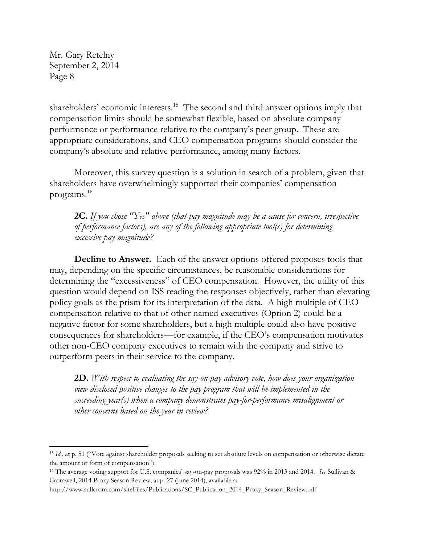$\overline{\phantom{a}}$ 

shareholders' economic interests.<sup>15</sup> The second and third answer options imply that compensation limits should be somewhat flexible, based on absolute company performance or performance relative to the company's peer group. These are appropriate considerations, and CEO compensation programs should consider the company's absolute and relative performance, among many factors.

Moreover, this survey question is a solution in search of a problem, given that shareholders have overwhelmingly supported their companies' compensation programs.<sup>16</sup>

**2C.** *If you chose "Yes" above (that pay magnitude may be a cause for concern, irrespective of performance factors), are any of the following appropriate tool(s) for determining excessive pay magnitude?*

**Decline to Answer.** Each of the answer options offered proposes tools that may, depending on the specific circumstances, be reasonable considerations for determining the "excessiveness" of CEO compensation. However, the utility of this question would depend on ISS reading the responses objectively, rather than elevating policy goals as the prism for its interpretation of the data. A high multiple of CEO compensation relative to that of other named executives (Option 2) could be a negative factor for some shareholders, but a high multiple could also have positive consequences for shareholders—for example, if the CEO's compensation motivates other non-CEO company executives to remain with the company and strive to outperform peers in their service to the company.

**2D.** *With respect to evaluating the say-on-pay advisory vote, how does your organization view disclosed positive changes to the pay program that will be implemented in the succeeding year(s) when a company demonstrates pay-for-performance misalignment or other concerns based on the year in review?*

<sup>&</sup>lt;sup>15</sup> *Id.*, at p. 51 ("Vote against shareholder proposals seeking to set absolute levels on compensation or otherwise dictate the amount or form of compensation").

<sup>16</sup> The average voting support for U.S. companies' say-on-pay proposals was 92% in 2013 and 2014. *See* Sullivan & Cromwell, 2014 Proxy Season Review, at p. 27 (June 2014), available at

[http://www.sullcrom.com/siteFiles/Publications/SC\\_Publication\\_2014\\_Proxy\\_Season\\_Review.pdf](http://www.sullcrom.com/siteFiles/Publications/SC_Publication_2014_Proxy_Season_Review.pdf)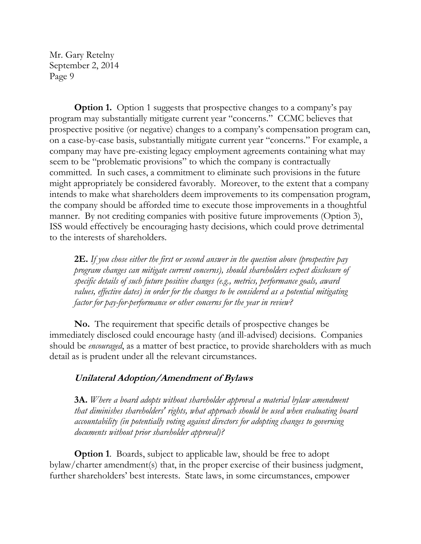**Option 1.** Option 1 suggests that prospective changes to a company's pay program may substantially mitigate current year "concerns." CCMC believes that prospective positive (or negative) changes to a company's compensation program can, on a case-by-case basis, substantially mitigate current year "concerns." For example, a company may have pre-existing legacy employment agreements containing what may seem to be "problematic provisions" to which the company is contractually committed. In such cases, a commitment to eliminate such provisions in the future might appropriately be considered favorably. Moreover, to the extent that a company intends to make what shareholders deem improvements to its compensation program, the company should be afforded time to execute those improvements in a thoughtful manner. By not crediting companies with positive future improvements (Option 3), ISS would effectively be encouraging hasty decisions, which could prove detrimental to the interests of shareholders.

**2E.** *If you chose either the first or second answer in the question above (prospective pay program changes can mitigate current concerns), should shareholders expect disclosure of specific details of such future positive changes (e.g., metrics, performance goals, award values, effective dates) in order for the changes to be considered as a potential mitigating factor for pay-for-performance or other concerns for the year in review?*

**No.** The requirement that specific details of prospective changes be immediately disclosed could encourage hasty (and ill-advised) decisions. Companies should be *encouraged*, as a matter of best practice, to provide shareholders with as much detail as is prudent under all the relevant circumstances.

# **Unilateral Adoption/Amendment of Bylaws**

**3A.** *Where a board adopts without shareholder approval a material bylaw amendment that diminishes shareholders' rights, what approach should be used when evaluating board accountability (in potentially voting against directors for adopting changes to governing documents without prior shareholder approval)?*

**Option 1.** Boards, subject to applicable law, should be free to adopt bylaw/charter amendment(s) that, in the proper exercise of their business judgment, further shareholders' best interests. State laws, in some circumstances, empower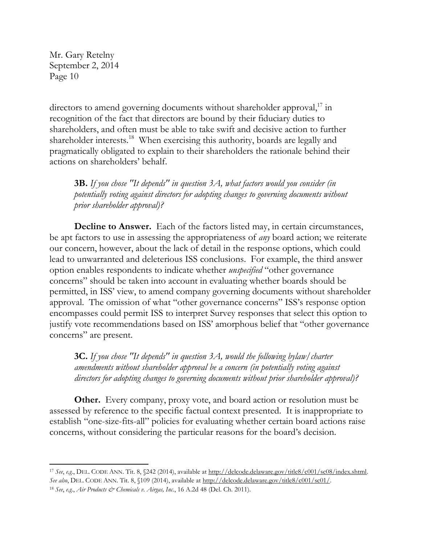$\overline{\phantom{a}}$ 

directors to amend governing documents without shareholder approval,<sup>17</sup> in recognition of the fact that directors are bound by their fiduciary duties to shareholders, and often must be able to take swift and decisive action to further shareholder interests.<sup>18</sup> When exercising this authority, boards are legally and pragmatically obligated to explain to their shareholders the rationale behind their actions on shareholders' behalf.

**3B.** *If you chose "It depends" in question 3A, what factors would you consider (in potentially voting against directors for adopting changes to governing documents without prior shareholder approval)?*

**Decline to Answer.** Each of the factors listed may, in certain circumstances, be apt factors to use in assessing the appropriateness of *any* board action; we reiterate our concern, however, about the lack of detail in the response options, which could lead to unwarranted and deleterious ISS conclusions. For example, the third answer option enables respondents to indicate whether *unspecified* "other governance concerns" should be taken into account in evaluating whether boards should be permitted, in ISS' view, to amend company governing documents without shareholder approval. The omission of what "other governance concerns" ISS's response option encompasses could permit ISS to interpret Survey responses that select this option to justify vote recommendations based on ISS' amorphous belief that "other governance concerns" are present.

**3C.** *If you chose "It depends" in question 3A, would the following bylaw/charter amendments without shareholder approval be a concern (in potentially voting against directors for adopting changes to governing documents without prior shareholder approval)?*

**Other.** Every company, proxy vote, and board action or resolution must be assessed by reference to the specific factual context presented. It is inappropriate to establish "one-size-fits-all" policies for evaluating whether certain board actions raise concerns, without considering the particular reasons for the board's decision.

<sup>17</sup> *See*, *e.g.*, DEL. CODE ANN. Tit. 8, §242 (2014), available at [http://delcode.delaware.gov/title8/c001/sc08/index.shtml.](http://delcode.delaware.gov/title8/c001/sc08/index.shtml)  *See also*, DEL. CODE ANN. Tit. 8, §109 (2014), available at [http://delcode.delaware.gov/title8/c001/sc01/.](http://delcode.delaware.gov/title8/c001/sc01/) <sup>18</sup> *See*, *e.g.*, *Air Products & Chemicals v. Airgas, Inc.*, 16 A.2d 48 (Del. Ch. 2011).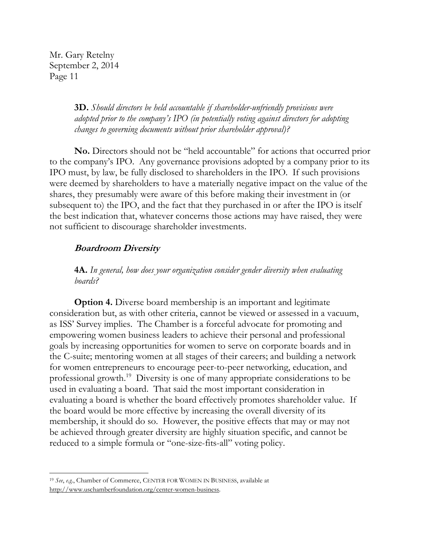> **3D.** *Should directors be held accountable if shareholder-unfriendly provisions were adopted prior to the company's IPO (in potentially voting against directors for adopting changes to governing documents without prior shareholder approval)?*

**No.** Directors should not be "held accountable" for actions that occurred prior to the company's IPO. Any governance provisions adopted by a company prior to its IPO must, by law, be fully disclosed to shareholders in the IPO. If such provisions were deemed by shareholders to have a materially negative impact on the value of the shares, they presumably were aware of this before making their investment in (or subsequent to) the IPO, and the fact that they purchased in or after the IPO is itself the best indication that, whatever concerns those actions may have raised, they were not sufficient to discourage shareholder investments.

## **Boardroom Diversity**

**4A.** *In general, how does your organization consider gender diversity when evaluating boards?*

**Option 4.** Diverse board membership is an important and legitimate consideration but, as with other criteria, cannot be viewed or assessed in a vacuum, as ISS' Survey implies. The Chamber is a forceful advocate for promoting and empowering women business leaders to achieve their personal and professional goals by increasing opportunities for women to serve on corporate boards and in the C-suite; mentoring women at all stages of their careers; and building a network for women entrepreneurs to encourage peer-to-peer networking, education, and professional growth.<sup>19</sup> Diversity is one of many appropriate considerations to be used in evaluating a board. That said the most important consideration in evaluating a board is whether the board effectively promotes shareholder value. If the board would be more effective by increasing the overall diversity of its membership, it should do so. However, the positive effects that may or may not be achieved through greater diversity are highly situation specific, and cannot be reduced to a simple formula or "one-size-fits-all" voting policy.

 $\overline{a}$ 

<sup>19</sup> *See*, *e.g.*, Chamber of Commerce, CENTER FOR WOMEN IN BUSINESS, available at [http://www.uschamberfoundation.org/center-women-business.](http://www.uschamberfoundation.org/center-women-business)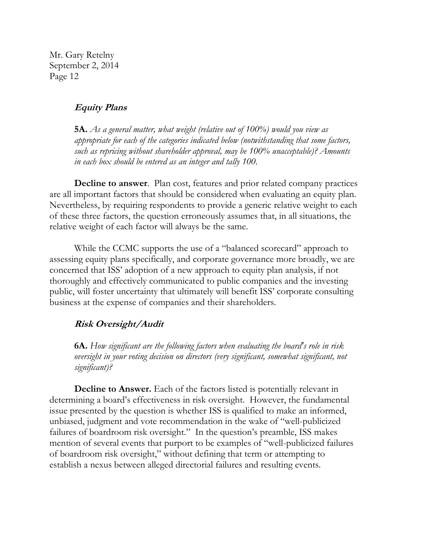#### **Equity Plans**

**5A.** *As a general matter, what weight (relative out of 100%) would you view as appropriate for each of the categories indicated below (notwithstanding that some factors, such as repricing without shareholder approval, may be 100% unacceptable)? Amounts in each box should be entered as an integer and tally 100.*

**Decline to answer**. Plan cost, features and prior related company practices are all important factors that should be considered when evaluating an equity plan. Nevertheless, by requiring respondents to provide a generic relative weight to each of these three factors, the question erroneously assumes that, in all situations, the relative weight of each factor will always be the same.

While the CCMC supports the use of a "balanced scorecard" approach to assessing equity plans specifically, and corporate governance more broadly, we are concerned that ISS' adoption of a new approach to equity plan analysis, if not thoroughly and effectively communicated to public companies and the investing public, will foster uncertainty that ultimately will benefit ISS' corporate consulting business at the expense of companies and their shareholders.

#### **Risk Oversight/Audit**

**6A.** *How significant are the following factors when evaluating the board's role in risk oversight in your voting decision on directors (very significant, somewhat significant, not significant)?*

**Decline to Answer.** Each of the factors listed is potentially relevant in determining a board's effectiveness in risk oversight. However, the fundamental issue presented by the question is whether ISS is qualified to make an informed, unbiased, judgment and vote recommendation in the wake of "well-publicized failures of boardroom risk oversight." In the question's preamble, ISS makes mention of several events that purport to be examples of "well-publicized failures of boardroom risk oversight," without defining that term or attempting to establish a nexus between alleged directorial failures and resulting events.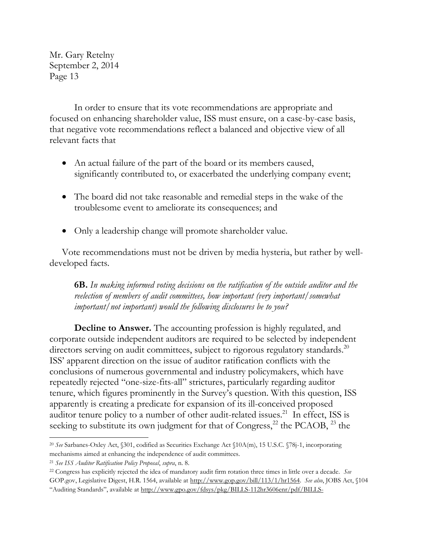In order to ensure that its vote recommendations are appropriate and focused on enhancing shareholder value, ISS must ensure, on a case-by-case basis, that negative vote recommendations reflect a balanced and objective view of all relevant facts that

- An actual failure of the part of the board or its members caused, significantly contributed to, or exacerbated the underlying company event;
- The board did not take reasonable and remedial steps in the wake of the troublesome event to ameliorate its consequences; and
- Only a leadership change will promote shareholder value.

Vote recommendations must not be driven by media hysteria, but rather by welldeveloped facts.

**6B.** *In making informed voting decisions on the ratification of the outside auditor and the reelection of members of audit committees, how important (very important/somewhat important/not important) would the following disclosures be to you?*

**Decline to Answer.** The accounting profession is highly regulated, and corporate outside independent auditors are required to be selected by independent directors serving on audit committees, subject to rigorous regulatory standards.<sup>20</sup> ISS' apparent direction on the issue of auditor ratification conflicts with the conclusions of numerous governmental and industry policymakers, which have repeatedly rejected "one-size-fits-all" strictures, particularly regarding auditor tenure, which figures prominently in the Survey's question. With this question, ISS apparently is creating a predicate for expansion of its ill-conceived proposed auditor tenure policy to a number of other audit-related issues.<sup>21</sup> In effect, ISS is seeking to substitute its own judgment for that of Congress, $^{22}$  the PCAOB,  $^{23}$  the

l <sup>20</sup> *See* Sarbanes-Oxley Act, §301, codified as Securities Exchange Act §10A(m), 15 U.S.C. §78j-1, incorporating mechanisms aimed at enhancing the independence of audit committees.

<sup>21</sup> *See ISS Auditor Ratification Policy Proposal*, *supra*, n. 8.

<sup>22</sup> Congress has explicitly rejected the idea of mandatory audit firm rotation three times in little over a decade. *See* GOP.gov, Legislative Digest, H.R. 1564, available at [http://www.gop.gov/bill/113/1/hr1564.](http://www.gop.gov/bill/113/1/hr1564) *See also*, JOBS Act, §104 "Auditing Standards", available at [http://www.gpo.gov/fdsys/pkg/BILLS-112hr3606enr/pdf/BILLS-](http://www.gpo.gov/fdsys/pkg/BILLS-112hr3606enr/pdf/BILLS-112hr3606enr.pdf)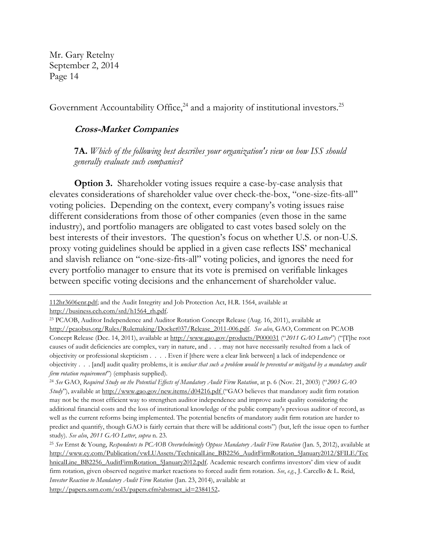$\overline{\phantom{a}}$ 

Government Accountability Office, $24$  and a majority of institutional investors.<sup>25</sup>

#### **Cross-Market Companies**

**7A.** *Which of the following best describes your organization's view on how ISS should generally evaluate such companies?*

**Option 3.** Shareholder voting issues require a case-by-case analysis that elevates considerations of shareholder value over check-the-box, "one-size-fits-all" voting policies. Depending on the context, every company's voting issues raise different considerations from those of other companies (even those in the same industry), and portfolio managers are obligated to cast votes based solely on the best interests of their investors. The question's focus on whether U.S. or non-U.S. proxy voting guidelines should be applied in a given case reflects ISS' mechanical and slavish reliance on "one-size-fits-all" voting policies, and ignores the need for every portfolio manager to ensure that its vote is premised on verifiable linkages between specific voting decisions and the enhancement of shareholder value.

[<sup>112</sup>hr3606enr.pdf;](http://www.gpo.gov/fdsys/pkg/BILLS-112hr3606enr/pdf/BILLS-112hr3606enr.pdf) and the Audit Integrity and Job Protection Act, H.R. 1564, available at http://business.cch.com/srd/h1564\_rh.pdf.

<sup>23</sup> PCAOB, Auditor Independence and Auditor Rotation Concept Release (Aug. 16, 2011), available at [http://pcaobus.org/Rules/Rulemaking/Docket037/Release\\_2011-006.pdf.](http://pcaobus.org/Rules/Rulemaking/Docket037/Release_2011-006.pdf) *See also*, GAO, Comment on PCAOB Concept Release (Dec. 14, 2011), available a[t http://www.gao.gov/products/P000031](http://www.gao.gov/products/P000031) ("*2011 GAO Letter*") ("[T]he root causes of audit deficiencies are complex, vary in nature, and . . . may not have necessarily resulted from a lack of objectivity or professional skepticism . . . . Even if [there were a clear link between] a lack of independence or objectivity . . . [and] audit quality problems, it is *unclear that such a problem would be prevented or mitigated by a mandatory audit firm rotation requirement*") (emphasis supplied).

<sup>24</sup> *See* GAO, *Required Study on the Potential Effects of Mandatory Audit Firm Rotation*, at p. 6 (Nov. 21, 2003) ("*2003 GAO Study*"), available at <http://www.gao.gov/new.items/d04216.pdf> ("GAO believes that mandatory audit firm rotation may not be the most efficient way to strengthen auditor independence and improve audit quality considering the additional financial costs and the loss of institutional knowledge of the public company's previous auditor of record, as well as the current reforms being implemented. The potential benefits of mandatory audit firm rotation are harder to predict and quantify, though GAO is fairly certain that there will be additional costs") (but, left the issue open to further study). *See also*, *2011 GAO Letter*, *supra* n. 23.

<sup>25</sup> *See* Ernst & Young, *Respondents to PCAOB Overwhelmingly Oppose Mandatory Audit Firm Rotation* (Jan. 5, 2012), available at [http://www.ey.com/Publication/vwLUAssets/TechnicalLine\\_BB2256\\_AuditFirmRotation\\_5January2012/\\$FILE/Tec](http://www.ey.com/Publication/vwLUAssets/TechnicalLine_BB2256_AuditFirmRotation_5January2012/$FILE/TechnicalLine_BB2256_AuditFirmRotation_5January2012.pdf) [hnicalLine\\_BB2256\\_AuditFirmRotation\\_5January2012.pdf.](http://www.ey.com/Publication/vwLUAssets/TechnicalLine_BB2256_AuditFirmRotation_5January2012/$FILE/TechnicalLine_BB2256_AuditFirmRotation_5January2012.pdf) Academic research confirms investors' dim view of audit firm rotation, given observed negative market reactions to forced audit firm rotation. *See*, *e.g.*, J. Carcello & L. Reid, *Investor Reaction to Mandatory Audit Firm Rotation* (Jan. 23, 2014), available at [http://papers.ssrn.com/sol3/papers.cfm?abstract\\_id=2384152](http://papers.ssrn.com/sol3/papers.cfm?abstract_id=2384152)**.**